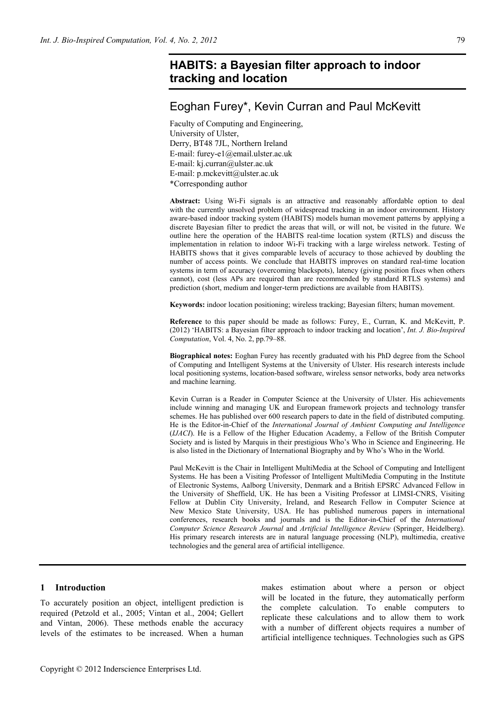# **HABITS: a Bayesian filter approach to indoor tracking and location**

## Eoghan Furey\*, Kevin Curran and Paul McKevitt

Faculty of Computing and Engineering, University of Ulster, Derry, BT48 7JL, Northern Ireland E-mail: furey-e1@email.ulster.ac.uk E-mail: kj.curran@ulster.ac.uk E-mail: p.mckevitt@ulster.ac.uk \*Corresponding author

**Abstract:** Using Wi-Fi signals is an attractive and reasonably affordable option to deal with the currently unsolved problem of widespread tracking in an indoor environment. History aware-based indoor tracking system (HABITS) models human movement patterns by applying a discrete Bayesian filter to predict the areas that will, or will not, be visited in the future. We outline here the operation of the HABITS real-time location system (RTLS) and discuss the implementation in relation to indoor Wi-Fi tracking with a large wireless network. Testing of HABITS shows that it gives comparable levels of accuracy to those achieved by doubling the number of access points. We conclude that HABITS improves on standard real-time location systems in term of accuracy (overcoming blackspots), latency (giving position fixes when others cannot), cost (less APs are required than are recommended by standard RTLS systems) and prediction (short, medium and longer-term predictions are available from HABITS).

**Keywords:** indoor location positioning; wireless tracking; Bayesian filters; human movement.

**Reference** to this paper should be made as follows: Furey, E., Curran, K. and McKevitt, P. (2012) 'HABITS: a Bayesian filter approach to indoor tracking and location', *Int. J. Bio-Inspired Computation*, Vol. 4, No. 2, pp.79–88.

**Biographical notes:** Eoghan Furey has recently graduated with his PhD degree from the School of Computing and Intelligent Systems at the University of Ulster. His research interests include local positioning systems, location-based software, wireless sensor networks, body area networks and machine learning.

Kevin Curran is a Reader in Computer Science at the University of Ulster. His achievements include winning and managing UK and European framework projects and technology transfer schemes. He has published over 600 research papers to date in the field of distributed computing. He is the Editor-in-Chief of the *International Journal of Ambient Computing and Intelligence* (*IJACI*). He is a Fellow of the Higher Education Academy, a Fellow of the British Computer Society and is listed by Marquis in their prestigious Who's Who in Science and Engineering. He is also listed in the Dictionary of International Biography and by Who's Who in the World.

Paul McKevitt is the Chair in Intelligent MultiMedia at the School of Computing and Intelligent Systems. He has been a Visiting Professor of Intelligent MultiMedia Computing in the Institute of Electronic Systems, Aalborg University, Denmark and a British EPSRC Advanced Fellow in the University of Sheffield, UK. He has been a Visiting Professor at LIMSI-CNRS, Visiting Fellow at Dublin City University, Ireland, and Research Fellow in Computer Science at New Mexico State University, USA. He has published numerous papers in international conferences, research books and journals and is the Editor-in-Chief of the *International Computer Science Research Journal* and *Artificial Intelligence Review* (Springer, Heidelberg). His primary research interests are in natural language processing (NLP), multimedia, creative technologies and the general area of artificial intelligence.

## **1 Introduction**

To accurately position an object, intelligent prediction is required (Petzold et al., 2005; Vintan et al., 2004; Gellert and Vintan, 2006). These methods enable the accuracy levels of the estimates to be increased. When a human

makes estimation about where a person or object will be located in the future, they automatically perform the complete calculation. To enable computers to replicate these calculations and to allow them to work with a number of different objects requires a number of artificial intelligence techniques. Technologies such as GPS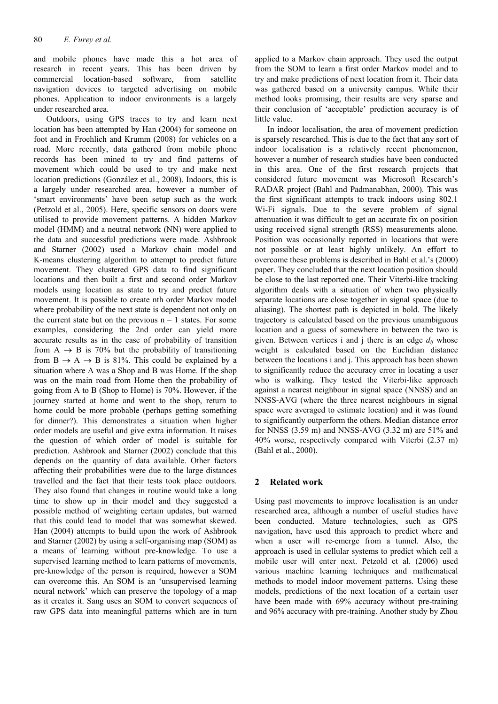and mobile phones have made this a hot area of research in recent years. This has been driven by commercial location-based software, from satellite navigation devices to targeted advertising on mobile phones. Application to indoor environments is a largely under researched area.

Outdoors, using GPS traces to try and learn next location has been attempted by Han (2004) for someone on foot and in Froehlich and Krumm (2008) for vehicles on a road. More recently, data gathered from mobile phone records has been mined to try and find patterns of movement which could be used to try and make next location predictions (González et al., 2008). Indoors, this is a largely under researched area, however a number of 'smart environments' have been setup such as the work (Petzold et al., 2005). Here, specific sensors on doors were utilised to provide movement patterns. A hidden Markov model (HMM) and a neutral network (NN) were applied to the data and successful predictions were made. Ashbrook and Starner (2002) used a Markov chain model and K-means clustering algorithm to attempt to predict future movement. They clustered GPS data to find significant locations and then built a first and second order Markov models using location as state to try and predict future movement. It is possible to create nth order Markov model where probability of the next state is dependent not only on the current state but on the previous  $n - 1$  states. For some examples, considering the 2nd order can yield more accurate results as in the case of probability of transition from  $A \rightarrow B$  is 70% but the probability of transitioning from  $B \to A \to B$  is 81%. This could be explained by a situation where A was a Shop and B was Home. If the shop was on the main road from Home then the probability of going from A to B (Shop to Home) is 70%. However, if the journey started at home and went to the shop, return to home could be more probable (perhaps getting something for dinner?). This demonstrates a situation when higher order models are useful and give extra information. It raises the question of which order of model is suitable for prediction. Ashbrook and Starner (2002) conclude that this depends on the quantity of data available. Other factors affecting their probabilities were due to the large distances travelled and the fact that their tests took place outdoors. They also found that changes in routine would take a long time to show up in their model and they suggested a possible method of weighting certain updates, but warned that this could lead to model that was somewhat skewed. Han (2004) attempts to build upon the work of Ashbrook and Starner (2002) by using a self-organising map (SOM) as a means of learning without pre-knowledge. To use a supervised learning method to learn patterns of movements, pre-knowledge of the person is required, however a SOM can overcome this. An SOM is an 'unsupervised learning neural network' which can preserve the topology of a map as it creates it. Sang uses an SOM to convert sequences of raw GPS data into meaningful patterns which are in turn applied to a Markov chain approach. They used the output from the SOM to learn a first order Markov model and to try and make predictions of next location from it. Their data was gathered based on a university campus. While their method looks promising, their results are very sparse and their conclusion of 'acceptable' prediction accuracy is of little value.

In indoor localisation, the area of movement prediction is sparsely researched. This is due to the fact that any sort of indoor localisation is a relatively recent phenomenon, however a number of research studies have been conducted in this area. One of the first research projects that considered future movement was Microsoft Research's RADAR project (Bahl and Padmanabhan, 2000). This was the first significant attempts to track indoors using 802.1 Wi-Fi signals. Due to the severe problem of signal attenuation it was difficult to get an accurate fix on position using received signal strength (RSS) measurements alone. Position was occasionally reported in locations that were not possible or at least highly unlikely. An effort to overcome these problems is described in Bahl et al.'s (2000) paper. They concluded that the next location position should be close to the last reported one. Their Viterbi-like tracking algorithm deals with a situation of when two physically separate locations are close together in signal space (due to aliasing). The shortest path is depicted in bold. The likely trajectory is calculated based on the previous unambiguous location and a guess of somewhere in between the two is given. Between vertices i and j there is an edge  $d_{ij}$  whose weight is calculated based on the Euclidian distance between the locations i and j. This approach has been shown to significantly reduce the accuracy error in locating a user who is walking. They tested the Viterbi-like approach against a nearest neighbour in signal space (NNSS) and an NNSS-AVG (where the three nearest neighbours in signal space were averaged to estimate location) and it was found to significantly outperform the others. Median distance error for NNSS (3.59 m) and NNSS-AVG (3.32 m) are 51% and 40% worse, respectively compared with Viterbi (2.37 m) (Bahl et al., 2000).

## **2 Related work**

Using past movements to improve localisation is an under researched area, although a number of useful studies have been conducted. Mature technologies, such as GPS navigation, have used this approach to predict where and when a user will re-emerge from a tunnel. Also, the approach is used in cellular systems to predict which cell a mobile user will enter next. Petzold et al. (2006) used various machine learning techniques and mathematical methods to model indoor movement patterns. Using these models, predictions of the next location of a certain user have been made with 69% accuracy without pre-training and 96% accuracy with pre-training. Another study by Zhou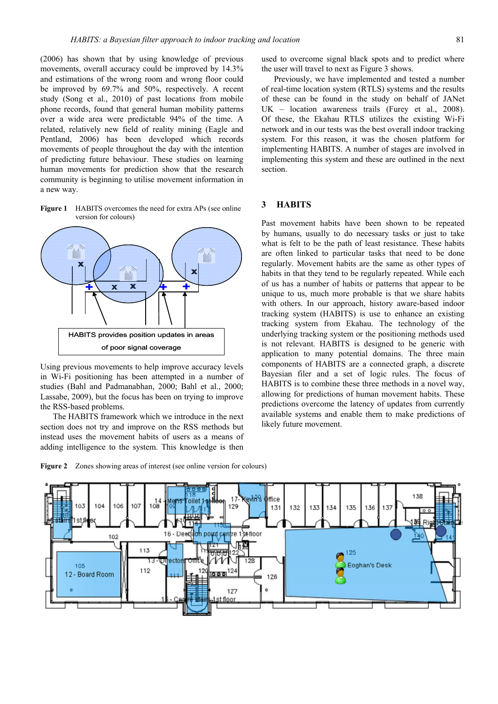(2006) has shown that by using knowledge of previous movements, overall accuracy could be improved by 14.3% and estimations of the wrong room and wrong floor could be improved by 69.7% and 50%, respectively. A recent study (Song et al., 2010) of past locations from mobile phone records, found that general human mobility patterns over a wide area were predictable 94% of the time. A related, relatively new field of reality mining (Eagle and Pentland, 2006) has been developed which records movements of people throughout the day with the intention of predicting future behaviour. These studies on learning human movements for prediction show that the research community is beginning to utilise movement information in a new way.

Figure 1 HABITS overcomes the need for extra APs (see online version for colours)



Using previous movements to help improve accuracy levels in Wi-Fi positioning has been attempted in a number of studies (Bahl and Padmanabhan, 2000; Bahl et al., 2000; Lassabe, 2009), but the focus has been on trying to improve the RSS-based problems.

The HABITS framework which we introduce in the next section does not try and improve on the RSS methods but instead uses the movement habits of users as a means of adding intelligence to the system. This knowledge is then

used to overcome signal black spots and to predict where the user will travel to next as Figure 3 shows.

Previously, we have implemented and tested a number of real-time location system (RTLS) systems and the results of these can be found in the study on behalf of JANet UK – location awareness trails (Furey et al., 2008). Of these, the Ekahau RTLS utilizes the existing Wi-Fi network and in our tests was the best overall indoor tracking system. For this reason, it was the chosen platform for implementing HABITS. A number of stages are involved in implementing this system and these are outlined in the next section.

## **3 HABITS**

Past movement habits have been shown to be repeated by humans, usually to do necessary tasks or just to take what is felt to be the path of least resistance. These habits are often linked to particular tasks that need to be done regularly. Movement habits are the same as other types of habits in that they tend to be regularly repeated. While each of us has a number of habits or patterns that appear to be unique to us, much more probable is that we share habits with others. In our approach, history aware-based indoor tracking system (HABITS) is use to enhance an existing tracking system from Ekahau. The technology of the underlying tracking system or the positioning methods used is not relevant. HABITS is designed to be generic with application to many potential domains. The three main components of HABITS are a connected graph, a discrete Bayesian filer and a set of logic rules. The focus of HABITS is to combine these three methods in a novel way, allowing for predictions of human movement habits. These predictions overcome the latency of updates from currently available systems and enable them to make predictions of likely future movement.

Figure 2 Zones showing areas of interest (see online version for colours)

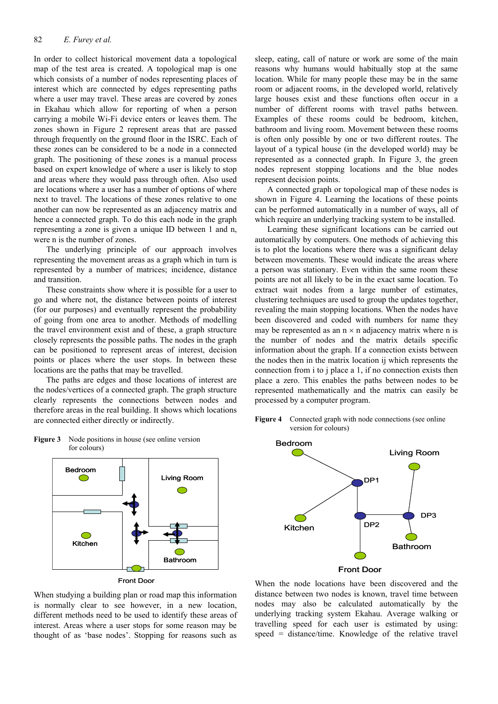In order to collect historical movement data a topological map of the test area is created. A topological map is one which consists of a number of nodes representing places of interest which are connected by edges representing paths where a user may travel. These areas are covered by zones in Ekahau which allow for reporting of when a person carrying a mobile Wi-Fi device enters or leaves them. The zones shown in Figure 2 represent areas that are passed through frequently on the ground floor in the ISRC. Each of these zones can be considered to be a node in a connected graph. The positioning of these zones is a manual process based on expert knowledge of where a user is likely to stop and areas where they would pass through often. Also used are locations where a user has a number of options of where next to travel. The locations of these zones relative to one another can now be represented as an adjacency matrix and hence a connected graph. To do this each node in the graph representing a zone is given a unique ID between 1 and n, were n is the number of zones.

The underlying principle of our approach involves representing the movement areas as a graph which in turn is represented by a number of matrices; incidence, distance and transition.

These constraints show where it is possible for a user to go and where not, the distance between points of interest (for our purposes) and eventually represent the probability of going from one area to another. Methods of modelling the travel environment exist and of these, a graph structure closely represents the possible paths. The nodes in the graph can be positioned to represent areas of interest, decision points or places where the user stops. In between these locations are the paths that may be travelled.

The paths are edges and those locations of interest are the nodes/vertices of a connected graph. The graph structure clearly represents the connections between nodes and therefore areas in the real building. It shows which locations are connected either directly or indirectly.

sleep, eating, call of nature or work are some of the main reasons why humans would habitually stop at the same location. While for many people these may be in the same room or adjacent rooms, in the developed world, relatively large houses exist and these functions often occur in a number of different rooms with travel paths between. Examples of these rooms could be bedroom, kitchen, bathroom and living room. Movement between these rooms is often only possible by one or two different routes. The layout of a typical house (in the developed world) may be represented as a connected graph. In Figure 3, the green nodes represent stopping locations and the blue nodes represent decision points.

A connected graph or topological map of these nodes is shown in Figure 4. Learning the locations of these points can be performed automatically in a number of ways, all of which require an underlying tracking system to be installed.

Learning these significant locations can be carried out automatically by computers. One methods of achieving this is to plot the locations where there was a significant delay between movements. These would indicate the areas where a person was stationary. Even within the same room these points are not all likely to be in the exact same location. To extract wait nodes from a large number of estimates, clustering techniques are used to group the updates together, revealing the main stopping locations. When the nodes have been discovered and coded with numbers for name they may be represented as an  $n \times n$  adjacency matrix where n is the number of nodes and the matrix details specific information about the graph. If a connection exists between the nodes then in the matrix location ij which represents the connection from i to j place a 1, if no connection exists then place a zero. This enables the paths between nodes to be represented mathematically and the matrix can easily be processed by a computer program.



Figure 3 Node positions in house (see online version for colours)

Front Door

When studying a building plan or road map this information is normally clear to see however, in a new location, different methods need to be used to identify these areas of interest. Areas where a user stops for some reason may be thought of as 'base nodes'. Stopping for reasons such as

**Figure 4** Connected graph with node connections (see online version for colours)



When the node locations have been discovered and the distance between two nodes is known, travel time between nodes may also be calculated automatically by the underlying tracking system Ekahau. Average walking or travelling speed for each user is estimated by using: speed = distance/time. Knowledge of the relative travel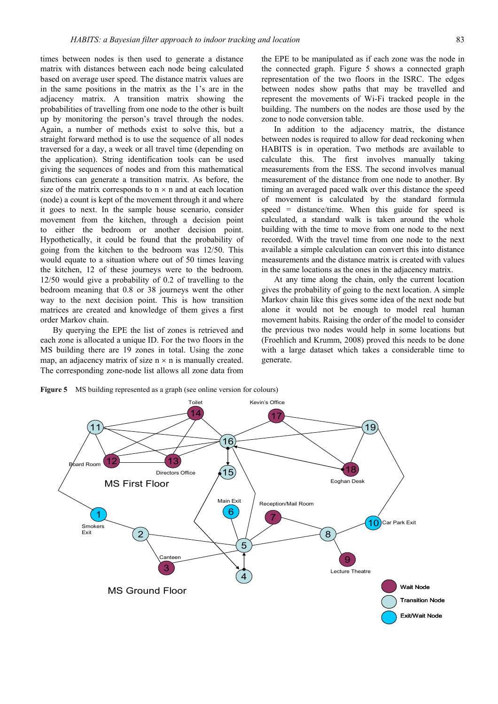times between nodes is then used to generate a distance matrix with distances between each node being calculated based on average user speed. The distance matrix values are in the same positions in the matrix as the 1's are in the adjacency matrix. A transition matrix showing the probabilities of travelling from one node to the other is built up by monitoring the person's travel through the nodes. Again, a number of methods exist to solve this, but a straight forward method is to use the sequence of all nodes traversed for a day, a week or all travel time (depending on the application). String identification tools can be used giving the sequences of nodes and from this mathematical functions can generate a transition matrix. As before, the size of the matrix corresponds to  $n \times n$  and at each location (node) a count is kept of the movement through it and where it goes to next. In the sample house scenario, consider movement from the kitchen, through a decision point to either the bedroom or another decision point. Hypothetically, it could be found that the probability of going from the kitchen to the bedroom was 12/50. This would equate to a situation where out of 50 times leaving the kitchen, 12 of these journeys were to the bedroom. 12/50 would give a probability of 0.2 of travelling to the bedroom meaning that 0.8 or 38 journeys went the other way to the next decision point. This is how transition matrices are created and knowledge of them gives a first order Markov chain.

By querying the EPE the list of zones is retrieved and each zone is allocated a unique ID. For the two floors in the MS building there are 19 zones in total. Using the zone map, an adjacency matrix of size  $n \times n$  is manually created. The corresponding zone-node list allows all zone data from

the EPE to be manipulated as if each zone was the node in the connected graph. Figure 5 shows a connected graph representation of the two floors in the ISRC. The edges between nodes show paths that may be travelled and represent the movements of Wi-Fi tracked people in the building. The numbers on the nodes are those used by the zone to node conversion table.

In addition to the adjacency matrix, the distance between nodes is required to allow for dead reckoning when HABITS is in operation. Two methods are available to calculate this. The first involves manually taking measurements from the ESS. The second involves manual measurement of the distance from one node to another. By timing an averaged paced walk over this distance the speed of movement is calculated by the standard formula speed = distance/time. When this guide for speed is calculated, a standard walk is taken around the whole building with the time to move from one node to the next recorded. With the travel time from one node to the next available a simple calculation can convert this into distance measurements and the distance matrix is created with values in the same locations as the ones in the adjacency matrix.

At any time along the chain, only the current location gives the probability of going to the next location. A simple Markov chain like this gives some idea of the next node but alone it would not be enough to model real human movement habits. Raising the order of the model to consider the previous two nodes would help in some locations but (Froehlich and Krumm, 2008) proved this needs to be done with a large dataset which takes a considerable time to generate.

> Transition Node Exit/Wait Node

Wait Node



4

**Figure 5** MS building represented as a graph (see online version for colours)

MS Ground Floor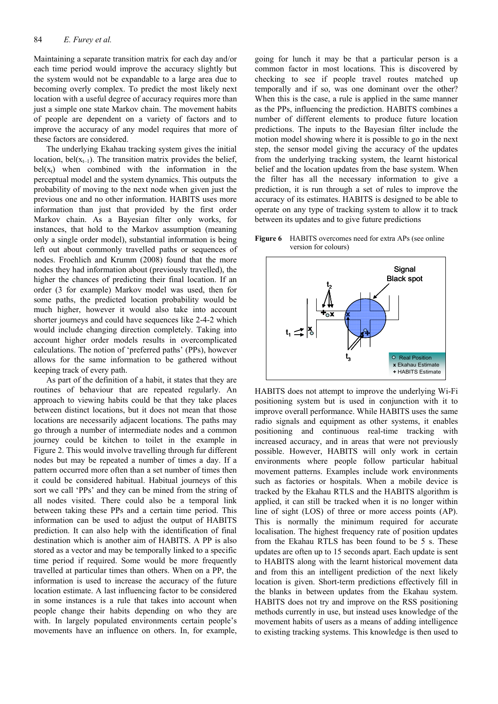Maintaining a separate transition matrix for each day and/or each time period would improve the accuracy slightly but the system would not be expandable to a large area due to becoming overly complex. To predict the most likely next location with a useful degree of accuracy requires more than just a simple one state Markov chain. The movement habits of people are dependent on a variety of factors and to improve the accuracy of any model requires that more of these factors are considered.

The underlying Ekahau tracking system gives the initial location, bel( $x_{t-1}$ ). The transition matrix provides the belief, bel( $x_t$ ) when combined with the information in the perceptual model and the system dynamics. This outputs the probability of moving to the next node when given just the previous one and no other information. HABITS uses more information than just that provided by the first order Markov chain. As a Bayesian filter only works, for instances, that hold to the Markov assumption (meaning only a single order model), substantial information is being left out about commonly travelled paths or sequences of nodes. Froehlich and Krumm (2008) found that the more nodes they had information about (previously travelled), the higher the chances of predicting their final location. If an order (3 for example) Markov model was used, then for some paths, the predicted location probability would be much higher, however it would also take into account shorter journeys and could have sequences like 2-4-2 which would include changing direction completely. Taking into account higher order models results in overcomplicated calculations. The notion of 'preferred paths' (PPs), however allows for the same information to be gathered without keeping track of every path.

As part of the definition of a habit, it states that they are routines of behaviour that are repeated regularly. An approach to viewing habits could be that they take places between distinct locations, but it does not mean that those locations are necessarily adjacent locations. The paths may go through a number of intermediate nodes and a common journey could be kitchen to toilet in the example in Figure 2. This would involve travelling through fur different nodes but may be repeated a number of times a day. If a pattern occurred more often than a set number of times then it could be considered habitual. Habitual journeys of this sort we call 'PPs' and they can be mined from the string of all nodes visited. There could also be a temporal link between taking these PPs and a certain time period. This information can be used to adjust the output of HABITS prediction. It can also help with the identification of final destination which is another aim of HABITS. A PP is also stored as a vector and may be temporally linked to a specific time period if required. Some would be more frequently travelled at particular times than others. When on a PP, the information is used to increase the accuracy of the future location estimate. A last influencing factor to be considered in some instances is a rule that takes into account when people change their habits depending on who they are with. In largely populated environments certain people's movements have an influence on others. In, for example, going for lunch it may be that a particular person is a common factor in most locations. This is discovered by checking to see if people travel routes matched up temporally and if so, was one dominant over the other? When this is the case, a rule is applied in the same manner as the PPs, influencing the prediction. HABITS combines a number of different elements to produce future location predictions. The inputs to the Bayesian filter include the motion model showing where it is possible to go in the next step, the sensor model giving the accuracy of the updates from the underlying tracking system, the learnt historical belief and the location updates from the base system. When the filter has all the necessary information to give a prediction, it is run through a set of rules to improve the accuracy of its estimates. HABITS is designed to be able to operate on any type of tracking system to allow it to track between its updates and to give future predictions

Figure 6 HABITS overcomes need for extra APs (see online version for colours)



HABITS does not attempt to improve the underlying Wi-Fi positioning system but is used in conjunction with it to improve overall performance. While HABITS uses the same radio signals and equipment as other systems, it enables positioning and continuous real-time tracking with increased accuracy, and in areas that were not previously possible. However, HABITS will only work in certain environments where people follow particular habitual movement patterns. Examples include work environments such as factories or hospitals. When a mobile device is tracked by the Ekahau RTLS and the HABITS algorithm is applied, it can still be tracked when it is no longer within line of sight (LOS) of three or more access points (AP). This is normally the minimum required for accurate localisation. The highest frequency rate of position updates from the Ekahau RTLS has been found to be 5 s. These updates are often up to 15 seconds apart. Each update is sent to HABITS along with the learnt historical movement data and from this an intelligent prediction of the next likely location is given. Short-term predictions effectively fill in the blanks in between updates from the Ekahau system. HABITS does not try and improve on the RSS positioning methods currently in use, but instead uses knowledge of the movement habits of users as a means of adding intelligence to existing tracking systems. This knowledge is then used to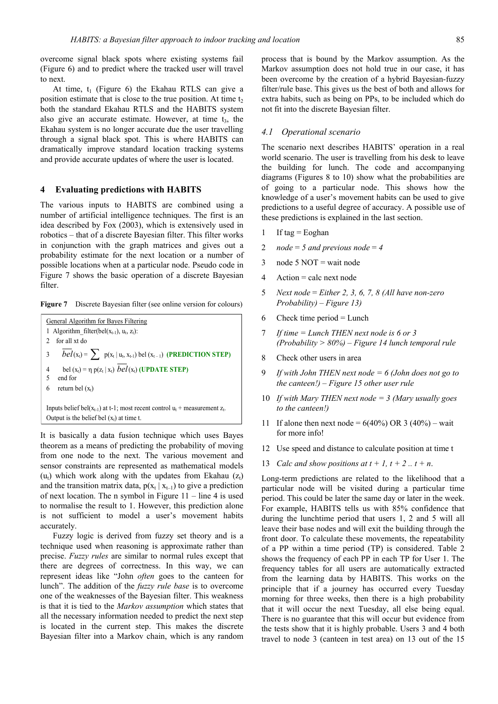overcome signal black spots where existing systems fail (Figure 6) and to predict where the tracked user will travel to next.

At time,  $t_1$  (Figure 6) the Ekahau RTLS can give a position estimate that is close to the true position. At time  $t_2$ both the standard Ekahau RTLS and the HABITS system also give an accurate estimate. However, at time  $t<sub>3</sub>$ , the Ekahau system is no longer accurate due the user travelling through a signal black spot. This is where HABITS can dramatically improve standard location tracking systems and provide accurate updates of where the user is located.

#### **4 Evaluating predictions with HABITS**

The various inputs to HABITS are combined using a number of artificial intelligence techniques. The first is an idea described by Fox (2003), which is extensively used in robotics – that of a discrete Bayesian filter. This filter works in conjunction with the graph matrices and gives out a probability estimate for the next location or a number of possible locations when at a particular node. Pseudo code in Figure 7 shows the basic operation of a discrete Bayesian filter.

**Figure 7** Discrete Bayesian filter (see online version for colours)

General Algorithm for Bayes Filtering 1 Algorithm\_filter(bel( $x_{t-1}$ ),  $u_t$ ,  $z_t$ ): 2 for all xt do 3  $\overline{bel}(x_t) = \sum_{r} p(x_t | u_t, x_{t-1})$  bel  $(x_{t-1})$  (**PREDICTION STEP**) 4 bel  $(x_t) = \eta p(z_t | x_t) \overline{bel}(x_t)$  **(UPDATE STEP)**<br>5 end for end for 6 return bel  $(x_t)$ Inputs belief bel( $x_{t-1}$ ) at t-1; most recent control  $u_t$  + measurement  $z_t$ . Output is the belief bel  $(x_t)$  at time t.

It is basically a data fusion technique which uses Bayes theorem as a means of predicting the probability of moving from one node to the next. The various movement and sensor constraints are represented as mathematical models (u<sub>t</sub>) which work along with the updates from Ekahau  $(z_t)$ and the transition matrix data,  $p(x_t | x_{t-1})$  to give a prediction of next location. The n symbol in Figure 11 – line 4 is used to normalise the result to 1. However, this prediction alone is not sufficient to model a user's movement habits accurately.

Fuzzy logic is derived from fuzzy set theory and is a technique used when reasoning is approximate rather than precise. *Fuzzy rules* are similar to normal rules except that there are degrees of correctness. In this way, we can represent ideas like "John *often* goes to the canteen for lunch". The addition of the *fuzzy rule base* is to overcome one of the weaknesses of the Bayesian filter. This weakness is that it is tied to the *Markov assumption* which states that all the necessary information needed to predict the next step is located in the current step. This makes the discrete Bayesian filter into a Markov chain, which is any random process that is bound by the Markov assumption. As the Markov assumption does not hold true in our case, it has been overcome by the creation of a hybrid Bayesian-fuzzy filter/rule base. This gives us the best of both and allows for extra habits, such as being on PPs, to be included which do not fit into the discrete Bayesian filter.

### *4.1 Operational scenario*

The scenario next describes HABITS' operation in a real world scenario. The user is travelling from his desk to leave the building for lunch. The code and accompanying diagrams (Figures 8 to 10) show what the probabilities are of going to a particular node. This shows how the knowledge of a user's movement habits can be used to give predictions to a useful degree of accuracy. A possible use of these predictions is explained in the last section.

- 1 If tag  $=$  Eoghan
- 2 *node* = *5 and previous node* = *4*
- 3 node 5 NOT = wait node
- 4 Action = calc next node
- 5 *Next node* = *Either 2, 3, 6, 7, 8 (All have non-zero Probability) – Figure 13)*
- 6 Check time period  $=$  Lunch
- 7 *If time = Lunch THEN next node is 6 or 3 (Probability > 80%) – Figure 14 lunch temporal rule*
- 8 Check other users in area
- 9 *If with John THEN next node = 6 (John does not go to the canteen!) – Figure 15 other user rule*
- 10 *If with Mary THEN next node = 3 (Mary usually goes to the canteen!)*
- 11 If alone then next node =  $6(40\%)$  OR 3  $(40\%)$  wait for more info!
- 12 Use speed and distance to calculate position at time t
- 13 *Calc and show positions at t + 1, t + 2*  $\ldots$  *t + n.*

Long-term predictions are related to the likelihood that a particular node will be visited during a particular time period. This could be later the same day or later in the week. For example, HABITS tells us with 85% confidence that during the lunchtime period that users 1, 2 and 5 will all leave their base nodes and will exit the building through the front door. To calculate these movements, the repeatability of a PP within a time period (TP) is considered. Table 2 shows the frequency of each PP in each TP for User 1. The frequency tables for all users are automatically extracted from the learning data by HABITS. This works on the principle that if a journey has occurred every Tuesday morning for three weeks, then there is a high probability that it will occur the next Tuesday, all else being equal. There is no guarantee that this will occur but evidence from the tests show that it is highly probable. Users 3 and 4 both travel to node 3 (canteen in test area) on 13 out of the 15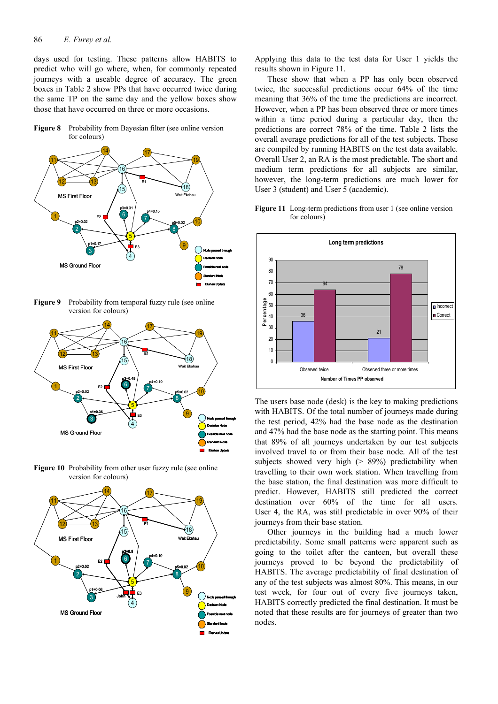MS Ground Floor

3

p1=0.17

E2

2

p2=0.02

1

days used for testing. These patterns allow HABITS to predict who will go where, when, for commonly repeated journeys with a useable degree of accuracy. The green boxes in Table 2 show PPs that have occurred twice during the same TP on the same day and the yellow boxes show those that have occurred on three or more occasions.



6

4

E3

5

7

 $p3=0.31$   $p4=0.15$ 

8

p5=0.02

9

10

Ekahau Update Standard Node Possible next node Decision Node Node passed through

**Figure 8** Probability from Bayesian filter (see online version for colours)

Figure 9 Probability from temporal fuzzy rule (see online version for colours)



Figure 10 Probability from other user fuzzy rule (see online version for colours)



results shown in Figure 11.

These show that when a PP has only been observed twice, the successful predictions occur 64% of the time meaning that 36% of the time the predictions are incorrect. However, when a PP has been observed three or more times within a time period during a particular day, then the predictions are correct 78% of the time. Table 2 lists the overall average predictions for all of the test subjects. These are compiled by running HABITS on the test data available. Overall User 2, an RA is the most predictable. The short and medium term predictions for all subjects are similar, however, the long-term predictions are much lower for User 3 (student) and User 5 (academic).

**Figure 11** Long-term predictions from user 1 (see online version for colours)



The users base node (desk) is the key to making predictions with HABITS. Of the total number of journeys made during the test period, 42% had the base node as the destination and 47% had the base node as the starting point. This means that 89% of all journeys undertaken by our test subjects involved travel to or from their base node. All of the test subjects showed very high (> 89%) predictability when travelling to their own work station. When travelling from the base station, the final destination was more difficult to predict. However, HABITS still predicted the correct destination over 60% of the time for all users. User 4, the RA, was still predictable in over 90% of their journeys from their base station.

Other journeys in the building had a much lower predictability. Some small patterns were apparent such as going to the toilet after the canteen, but overall these journeys proved to be beyond the predictability of HABITS. The average predictability of final destination of any of the test subjects was almost 80%. This means, in our test week, for four out of every five journeys taken, HABITS correctly predicted the final destination. It must be noted that these results are for journeys of greater than two nodes.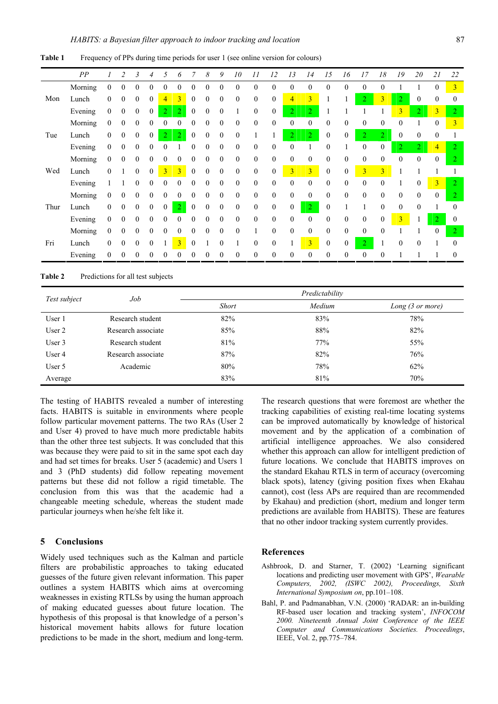|      | PP      |                  | 2                | 3                | 4            | 5                       | 6                       | $\overline{7}$   | 8                | 9                | 10           | 11               | 12               | 13               | 14             | 15               | 16               | 17                      | 18                      | 19               | 20             | 21                      | 22               |
|------|---------|------------------|------------------|------------------|--------------|-------------------------|-------------------------|------------------|------------------|------------------|--------------|------------------|------------------|------------------|----------------|------------------|------------------|-------------------------|-------------------------|------------------|----------------|-------------------------|------------------|
| Mon  | Morning | $\boldsymbol{0}$ | $\theta$         | $\mathbf{0}$     | $\theta$     | 0                       | $\theta$                | $\theta$         | $\theta$         | $\Omega$         | $\theta$     | $\mathbf{0}$     | 0                | $\theta$         | $\mathbf{0}$   | $\mathbf{0}$     | $\mathbf{0}$     | $\theta$                | $\mathbf{0}$            |                  |                | $\boldsymbol{0}$        | $\overline{3}$   |
|      | Lunch   | $\theta$         | $\theta$         | $\mathbf{0}$     | $\mathbf{0}$ | $\overline{4}$          | $\overline{3}$          | $\mathbf{0}$     | $\boldsymbol{0}$ | $\boldsymbol{0}$ | $\theta$     | $\mathbf{0}$     | $\mathbf{0}$     | $\overline{4}$   | $\overline{3}$ |                  |                  | $\overline{2}$          | $\overline{\mathbf{3}}$ | 2                | $\mathbf{0}$   | $\mathbf{0}$            | $\boldsymbol{0}$ |
|      | Evening | $\overline{0}$   | $\theta$         | $\theta$         | $\theta$     | $\overline{2}$          | $\overline{2}$          | $\theta$         | $\theta$         | $\theta$         |              | $\mathbf{0}$     | $\mathbf{0}$     | 2                | $\overline{2}$ |                  |                  |                         | 1                       | 3                | $\overline{2}$ | $\overline{\mathbf{3}}$ | $\overline{2}$   |
| Tue  | Morning | 0                | $\theta$         | $\mathbf{0}$     | $\theta$     | $\boldsymbol{0}$        | $\mathbf{0}$            | $\mathbf{0}$     | $\mathbf{0}$     | $\boldsymbol{0}$ | $\mathbf{0}$ | $\boldsymbol{0}$ | $\boldsymbol{0}$ | $\mathbf{0}$     | $\theta$       | $\mathbf{0}$     | $\mathbf{0}$     | $\mathbf{0}$            | $\boldsymbol{0}$        | $\boldsymbol{0}$ |                | $\boldsymbol{0}$        | $\overline{3}$   |
|      | Lunch   | $\overline{0}$   | $\theta$         | $\mathbf{0}$     | 0            | $\overline{2}$          | $\overline{2}$          | $\boldsymbol{0}$ | $\boldsymbol{0}$ | $\mathbf{0}$     | $\theta$     |                  |                  | $\overline{2}$   | $\overline{2}$ | $\boldsymbol{0}$ | $\mathbf{0}$     | $\overline{2}$          | $\overline{2}$          | $\mathbf{0}$     | $\mathbf{0}$   | $\theta$                |                  |
|      | Evening | $\Omega$         | $\theta$         | $\theta$         | $\theta$     | $\theta$                |                         | $\theta$         | $\theta$         | $\theta$         | $\theta$     | $\mathbf{0}$     | $\boldsymbol{0}$ | $\theta$         |                | $\theta$         |                  | $\mathbf{0}$            | $\theta$                | $\overline{2}$   | $\overline{2}$ | $\overline{4}$          | 2                |
| Wed  | Morning | $\overline{0}$   | $\theta$         | $\mathbf{0}$     | $\theta$     | $\boldsymbol{0}$        | $\theta$                | $\overline{0}$   | $\boldsymbol{0}$ | $\mathbf{0}$     | $\mathbf{0}$ | $\mathbf{0}$     | $\mathbf{0}$     | $\theta$         | $\theta$       | $\mathbf{0}$     | $\mathbf{0}$     | $\mathbf{0}$            | $\mathbf{0}$            | $\mathbf{0}$     | $\mathbf{0}$   | $\mathbf{0}$            | $\overline{2}$   |
|      | Lunch   | $\theta$         |                  | $\mathbf{0}$     | $\mathbf{0}$ | $\overline{\mathbf{3}}$ | $\overline{\mathbf{3}}$ | $\mathbf{0}$     | $\theta$         | $\theta$         | $\mathbf{0}$ | $\mathbf{0}$     | $\mathbf{0}$     | 3 <sup>1</sup>   | $\overline{3}$ | $\mathbf{0}$     | $\overline{0}$   | $\overline{\mathbf{3}}$ | $\overline{\mathbf{3}}$ |                  |                |                         |                  |
|      | Evening |                  |                  | $\theta$         | $\mathbf{0}$ | $\mathbf{0}$            | $\theta$                | $\theta$         | $\theta$         | $\theta$         | $\theta$     | $\mathbf{0}$     | $\overline{0}$   | $\mathbf{0}$     | $\theta$       | $\mathbf{0}$     | $\mathbf{0}$     | $\mathbf{0}$            | $\mathbf{0}$            |                  | $\theta$       | 3                       | $\overline{2}$   |
| Thur | Morning | $\overline{0}$   | $\theta$         | $\mathbf{0}$     | $\mathbf{0}$ | $\boldsymbol{0}$        | $\theta$                | $\mathbf{0}$     | $\mathbf{0}$     | $\mathbf{0}$     | $\mathbf{0}$ | $\mathbf{0}$     | $\mathbf{0}$     | $\boldsymbol{0}$ | $\mathbf{0}$   | $\mathbf{0}$     | $\mathbf{0}$     | $\mathbf{0}$            | $\boldsymbol{0}$        | $\boldsymbol{0}$ | $\mathbf{0}$   | $\theta$                | $\overline{2}$   |
|      | Lunch   | $\Omega$         | $\theta$         | $\mathbf{0}$     | $\mathbf{0}$ | $\boldsymbol{0}$        | $\overline{2}$          | $\mathbf{0}$     | $\boldsymbol{0}$ | $\mathbf{0}$     | $\mathbf{0}$ | $\mathbf{0}$     | $\mathbf{0}$     | $\boldsymbol{0}$ | $\overline{2}$ | $\theta$         |                  |                         | $\mathbf{0}$            | $\mathbf{0}$     | $\theta$       |                         | $\boldsymbol{0}$ |
|      | Evening | $\overline{0}$   | $\theta$         | $\mathbf{0}$     | $\theta$     | $\boldsymbol{0}$        | $\theta$                | $\mathbf{0}$     | $\theta$         | $\boldsymbol{0}$ | $\mathbf{0}$ | $\mathbf{0}$     | $\overline{0}$   | $\boldsymbol{0}$ | $\mathbf{0}$   | $\mathbf{0}$     | $\mathbf{0}$     | $\mathbf{0}$            | $\boldsymbol{0}$        | 3                |                |                         | $\mathbf{0}$     |
| Fri  | Morning | $\overline{0}$   | $\theta$         | $\mathbf{0}$     | $\theta$     | $\boldsymbol{0}$        | $\theta$                | $\theta$         | $\boldsymbol{0}$ | $\mathbf{0}$     | $\theta$     |                  | $\mathbf{0}$     | $\theta$         | $\mathbf{0}$   | $\mathbf{0}$     | $\boldsymbol{0}$ | $\mathbf{0}$            | $\mathbf{0}$            |                  |                | $\mathbf{0}$            | 2 <sup>1</sup>   |
|      | Lunch   | $\Omega$         | $\theta$         | $\theta$         | $\mathbf{0}$ |                         | $\overline{\mathbf{3}}$ | $\mathbf{0}$     |                  | $\theta$         |              | $\mathbf{0}$     | $\mathbf{0}$     | 1                | $\overline{3}$ | $\mathbf{0}$     | 0                | $\overline{2}$          |                         | $\theta$         | $\theta$       |                         | $\theta$         |
|      | Evening | $\overline{0}$   | $\boldsymbol{0}$ | $\boldsymbol{0}$ | $\theta$     | $\boldsymbol{0}$        | $\mathbf{0}$            | $\overline{0}$   | $\theta$         | $\boldsymbol{0}$ | $\mathbf{0}$ | $\mathbf{0}$     | $\boldsymbol{0}$ | $\mathbf{0}$     | $\mathbf{0}$   | $\mathbf{0}$     | $\boldsymbol{0}$ | $\mathbf{0}$            | $\mathbf{0}$            |                  |                |                         | 0                |

**Table 1** Frequency of PPs during time periods for user 1 (see online version for colours)

**Table 2** Predictions for all test subjects

| Test subject | Job                | Predictability |        |                  |  |  |  |  |  |  |
|--------------|--------------------|----------------|--------|------------------|--|--|--|--|--|--|
|              |                    | <b>Short</b>   | Medium | Long (3 or more) |  |  |  |  |  |  |
| User 1       | Research student   | 82%            | 83%    | 78%              |  |  |  |  |  |  |
| User 2       | Research associate | 85%            | 88%    | 82%              |  |  |  |  |  |  |
| User 3       | Research student   | 81%            | 77%    | 55%              |  |  |  |  |  |  |
| User 4       | Research associate | 87%            | 82%    | 76%              |  |  |  |  |  |  |
| User 5       | Academic           | 80%            | 78%    | 62%              |  |  |  |  |  |  |
| Average      |                    | 83%            | 81%    | 70%              |  |  |  |  |  |  |

The testing of HABITS revealed a number of interesting facts. HABITS is suitable in environments where people follow particular movement patterns. The two RAs (User 2 and User 4) proved to have much more predictable habits than the other three test subjects. It was concluded that this was because they were paid to sit in the same spot each day and had set times for breaks. User 5 (academic) and Users 1 and 3 (PhD students) did follow repeating movement patterns but these did not follow a rigid timetable. The conclusion from this was that the academic had a changeable meeting schedule, whereas the student made particular journeys when he/she felt like it.

#### **5 Conclusions**

Widely used techniques such as the Kalman and particle filters are probabilistic approaches to taking educated guesses of the future given relevant information. This paper outlines a system HABITS which aims at overcoming weaknesses in existing RTLSs by using the human approach of making educated guesses about future location. The hypothesis of this proposal is that knowledge of a person's historical movement habits allows for future location predictions to be made in the short, medium and long-term. The research questions that were foremost are whether the tracking capabilities of existing real-time locating systems can be improved automatically by knowledge of historical movement and by the application of a combination of artificial intelligence approaches. We also considered whether this approach can allow for intelligent prediction of future locations. We conclude that HABITS improves on the standard Ekahau RTLS in term of accuracy (overcoming black spots), latency (giving position fixes when Ekahau cannot), cost (less APs are required than are recommended by Ekahau) and prediction (short, medium and longer term predictions are available from HABITS). These are features that no other indoor tracking system currently provides.

### **References**

- Ashbrook, D. and Starner, T. (2002) 'Learning significant locations and predicting user movement with GPS', *Wearable Computers, 2002, (ISWC 2002), Proceedings, Sixth International Symposium on*, pp.101–108.
- Bahl, P. and Padmanabhan, V.N. (2000) 'RADAR: an in-building RF-based user location and tracking system', *INFOCOM 2000. Nineteenth Annual Joint Conference of the IEEE Computer and Communications Societies. Proceedings*, IEEE, Vol. 2, pp.775–784.